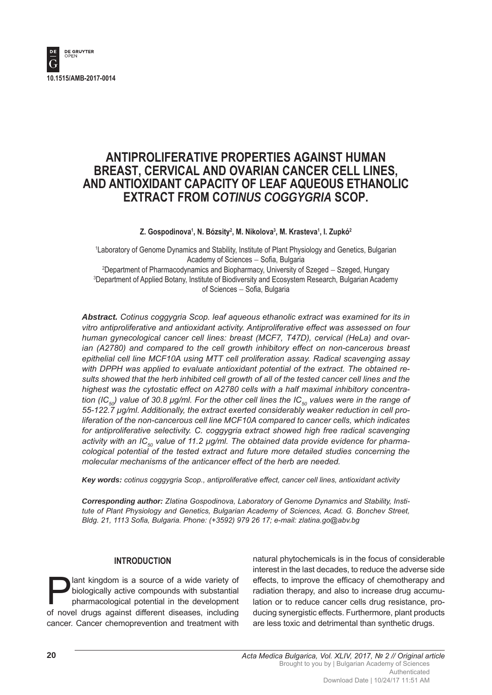

# **ANTIPROLIFERATIVE PROPERTIES AGAINST HUMAN BREAST, CERVICAL AND OVARIAN CANCER CELL LINES, AND ANTIOXIDANT CAPACITY OF LEAF AQUEOUS ETHANOLIC EXTRACT FROM C***OTINUS COGGYGRIA* **SCOP.**

#### **Z. Gospodinova1 , N. Bózsity2 , M. Nikolova3 , M. Krasteva1 , I. Zupkó2**

1 Laboratory of Genome Dynamics and Stability, Institute of Plant Physiology and Genetics, Bulgarian Academy of Sciences - Sofia, Bulgaria <sup>2</sup>Department of Pharmacodynamics and Biopharmacy, University of Szeged - Szeged, Hungary

3 Department of Applied Botany, Institute of Biodiversity and Ecosystem Research, Bulgarian Academy of Sciences - Sofia, Bulgaria

*Abstract. Cotinus coggygria Scop. leaf aqueous ethanolic extract was examined for its in vitro antiproliferative and antioxidant activity. Antiproliferative effect was assessed on four human gynecological cancer cell lines: breast (MCF7, T47D), cervical (HeLa) and ovar*ian (A2780) and compared to the cell growth inhibitory effect on non-cancerous breast *epithelial cell line MCF10A using MTT cell proliferation assay. Radical scavenging assay with DPPH was applied to evaluate antioxidant potential of the extract. The obtained results showed that the herb inhibited cell growth of all of the tested cancer cell lines and the highest was the cytostatic effect on A2780 cells with a half maximal inhibitory concentration (IC<sub>50</sub>) value of 30.8 μg/ml. For the other cell lines the IC<sub>50</sub> values were in the range of 55-122.7 μg/ml. Additionally, the extract exerted considerably weaker reduction in cell proliferation of the non-cancerous cell line MCF10A compared to cancer cells, which indicates for antiproliferative selectivity. C. coggygria extract showed high free radical scavenging*  activity with an IC<sub>50</sub> value of 11.2 μg/ml. The obtained data provide evidence for pharma*cological potential of the tested extract and future more detailed studies concerning the molecular mechanisms of the anticancer effect of the herb are needed.* 

*Key words: cotinus coggygria Scop., antiproliferative effect, cancer cell lines, antioxidant activity*

*Corresponding author: Zlatina Gospodinova, Laboratory of Genome Dynamics and Stability, Institute of Plant Physiology and Genetics, Bulgarian Academy of Sciences, Acad. G. Bonchev Street, Bldg. 21, 1113 Sofia, Bulgaria. Phone: (+3592) 979 26 17; e-mail: zlatina.go@abv.bg* 

#### **INTRODUCTION**

**Plant kingdom is a source of a wide variety of biologically active compounds with substantial pharmacological potential in the development** biologically active compounds with substantial pharmacological potential in the development of novel drugs against different diseases, including cancer. Cancer chemoprevention and treatment with natural phytochemicals is in the focus of considerable interest in the last decades, to reduce the adverse side effects, to improve the efficacy of chemotherapy and radiation therapy, and also to increase drug accumulation or to reduce cancer cells drug resistance, producing synergistic effects. Furthermore, plant products are less toxic and detrimental than synthetic drugs.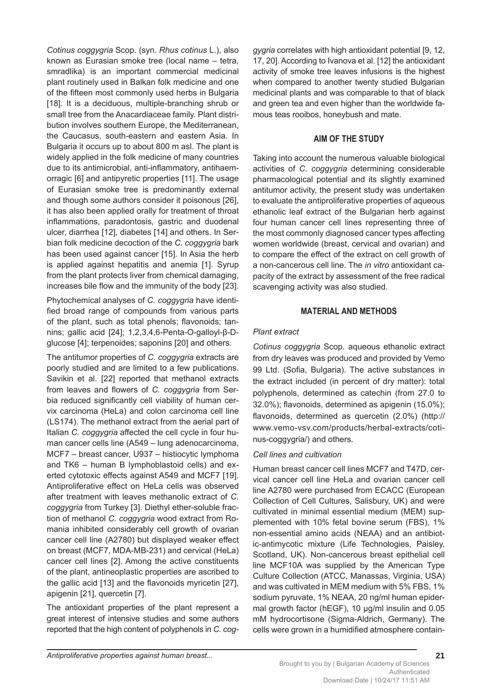*Cotinus coggygria* Scop. (syn. *Rhus cotinus* L.), also known as Eurasian smoke tree (local name – tetra, smradlika) is an important commercial medicinal plant routinely used in Balkan folk medicine and one of the fifteen most commonly used herbs in Bulgaria [18]. It is a deciduous, multiple-branching shrub or small tree from the Anacardiaceae family. Plant distribution involves southern Europe, the Mediterranean, the Caucasus, south-eastern and eastern Asia. In Bulgaria it occurs up to about 800 m asl. The plant is widely applied in the folk medicine of many countries due to its antimicrobial, anti-inflammatory, antihaemorragic [6] and antipyretic properties [11]. The usage of Eurasian smoke tree is predominantly external and though some authors consider it poisonous [26], it has also been applied orally for treatment of throat inflammations, paradontosis, gastric and duodenal ulcer, diarrhea [12], diabetes [14] and others. In Serbian folk medicine decoction of the *C. coggygria* bark has been used against cancer [15]. In Asia the herb is applied against hepatitis and anemia [1]. Syrup from the plant protects liver from chemical damaging, increases bile flow and the immunity of the body [23].

Phytochemical analyses of *C. coggygria* have identified broad range of compounds from various parts of the plant, such as total phenols; flavonoids; tannins; gallic acid [24]; 1,2,3,4,6-Penta-O-galloyl-β-Dglucose [4]; terpenoides; saponins [20] and others.

The antitumor properties of *C. coggygria* extracts are poorly studied and are limited to a few publications. Savikin et al. [22] reported that methanol extracts from leaves and flowers of *C. coggygria* from Serbia reduced significantly cell viability of human cervix carcinoma (HeLa) and colon carcinoma cell line (LS174). The methanol extract from the aerial part of Italian *C. coggygria* affected the cell cycle in four human cancer cells line (A549 – lung adenocarcinoma, MCF7 – breast cancer, U937 – histiocytic lymphoma and TK6 – human B lymphoblastoid cells) and exerted cytotoxic effects against A549 and MCF7 [19]. Antiproliferative effect on HeLa cells was observed after treatment with leaves methanolic extract of *C. coggygria* from Turkey [3]. Diethyl ether-soluble fraction of methanol *C. coggygria* wood extract from Romania inhibited considerably cell growth of ovarian cancer cell line (A2780) but displayed weaker effect on breast (MCF7, MDA-MB-231) and cervical (HeLa) cancer cell lines [2]. Among the active constituents of the plant, antineoplastic properties are ascribed to the gallic acid  $[13]$  and the flavonoids myricetin  $[27]$ , apigenin [21], quercetin [7].

The antioxidant properties of the plant represent a great interest of intensive studies and some authors reported that the high content of polyphenols in *C. cog-* *gygria* correlates with high antioxidant potential [9, 12, 17, 20]. According to Ivanova et al. [12] the antioxidant activity of smoke tree leaves infusions is the highest when compared to another twenty studied Bulgarian medicinal plants and was comparable to that of black and green tea and even higher than the worldwide famous teas rooibos, honeybush and mate.

# **AIM OF THE STUDY**

Taking into account the numerous valuable biological activities of *C. coggygria* determining considerable pharmacological potential and its slightly examined antitumor activity, the present study was undertaken to evaluate the antiproliferative properties of aqueous ethanolic leaf extract of the Bulgarian herb against four human cancer cell lines representing three of the most commonly diagnosed cancer types affecting women worldwide (breast, cervical and ovarian) and to compare the effect of the extract on cell growth of a non-cancerous cell line. The *in vitro* antioxidant capacity of the extract by assessment of the free radical scavenging activity was also studied.

# **MATERIAL AND METHODS**

# *Plant extract*

*Cotinus coggygria* Scop. aqueous ethanolic extract from dry leaves was produced and provided by Vemo 99 Ltd. (Sofia, Bulgaria). The active substances in the extract included (in percent of dry matter): total polyphenols, determined as catechin (from 27.0 to  $32.0\%$ ); flavonoids, determined as apigenin (15.0%); flavonoids, determined as quercetin (2.0%) (http:// www.vemo-vsv.com/products/herbal-extracts/cotinus-coggygria/) and others.

## *Cell lines and cultivation*

Human breast cancer cell lines MCF7 and T47D, cervical cancer cell line HeLa and ovarian cancer cell line A2780 were purchased from ECACC (European Collection of Cell Cultures, Salisbury, UK) and were cultivated in minimal essential medium (MEM) supplemented with 10% fetal bovine serum (FBS), 1% non-essential amino acids (NEAA) and an antibiotic-antimycotic mixture (Life Technologies, Paisley, Scotland, UK). Non-cancerous breast epithelial cell line MCF10A was supplied by the American Type Culture Collection (ATCC, Manassas, Virginia, USA) and was cultivated in MEM medium with 5% FBS, 1% sodium pyruvate, 1% NEAA, 20 ng/ml human epidermal growth factor (hEGF), 10 μg/ml insulin and 0.05 mM hydrocortisone (Sigma-Aldrich, Germany). The cells were grown in a humidified atmosphere contain-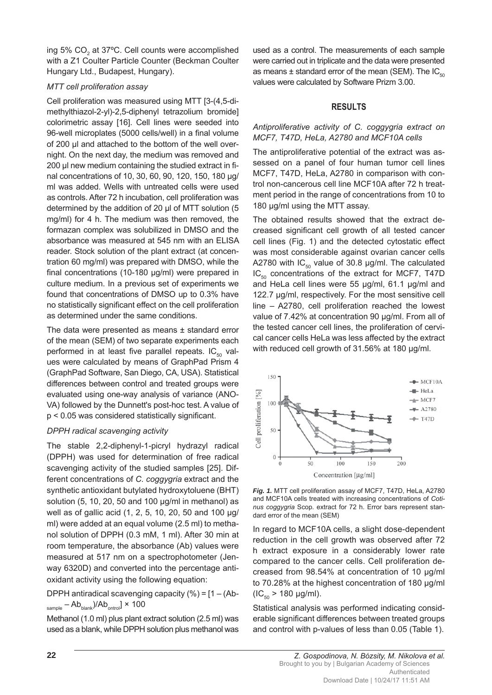ing 5%  $CO<sub>2</sub>$  at 37°C. Cell counts were accomplished with a Z1 Coulter Particle Counter (Beckman Coulter Hungary Ltd., Budapest, Hungary).

#### *MTT cell proliferation assay*

Cell proliferation was measured using MTT [3-(4,5-dimethylthiazol-2-yl)-2,5-diphenyl tetrazolium bromide] colorimetric assay [16]. Cell lines were seeded into 96-well microplates (5000 cells/well) in a final volume of 200 μl and attached to the bottom of the well overnight. On the next day, the medium was removed and 200 μl new medium containing the studied extract in final concentrations of 10, 30, 60, 90, 120, 150, 180 μg/ ml was added. Wells with untreated cells were used as controls. After 72 h incubation, cell proliferation was determined by the addition of 20 μl of MTT solution (5 mg/ml) for 4 h. The medium was then removed, the formazan complex was solubilized in DMSO and the absorbance was measured at 545 nm with an ELISA reader. Stock solution of the plant extract (at concentration 60 mg/ml) was prepared with DMSO, while the final concentrations (10-180  $\mu$ g/ml) were prepared in culture medium. In a previous set of experiments we found that concentrations of DMSO up to 0.3% have no statistically significant effect on the cell proliferation as determined under the same conditions.

The data were presented as means  $\pm$  standard error of the mean (SEM) of two separate experiments each performed in at least five parallel repeats.  $IC_{50}$  values were calculated by means of GraphPad Prism 4 (GraphPad Software, San Diego, CA, USA). Statistical differences between control and treated groups were evaluated using one-way analysis of variance (ANO-VA) followed by the Dunnett's post-hoc test. A value of  $p < 0.05$  was considered statistically significant.

## *DPPH radical scavenging activity*

The stable 2,2-diphenyl-1-picryl hydrazyl radical (DPPH) was used for determination of free radical scavenging activity of the studied samples [25]. Different concentrations of *C. coggygria* extract and the synthetic antioxidant butylated hydroxytoluene (BHT) solution (5, 10, 20, 50 and 100 μg/ml in methanol) as well as of gallic acid (1, 2, 5, 10, 20, 50 and 100 μg/ ml) were added at an equal volume (2.5 ml) to methanol solution of DPPH (0.3 mM, 1 ml). After 30 min at room temperature, the absorbance (Ab) values were measured at 517 nm on a spectrophotometer (Jenway 6320D) and converted into the percentage antioxidant activity using the following equation:

DPPH antiradical scavenging capacity  $(\% ) = [1 - (Ab \text{sample} - \text{Ab}_{\text{blank}}$ )/Ab<sub>ontrol</sub>]  $\times$  100

Methanol (1.0 ml) plus plant extract solution (2.5 ml) was used as a blank, while DPPH solution plus methanol was used as a control. The measurements of each sample were carried out in triplicate and the data were presented as means  $\pm$  standard error of the mean (SEM). The IC<sub>50</sub> values were calculated by Software Prizm 3.00.

# **RESULTS**

#### *Antiproliferative activity of C. coggygria extract on MCF7, T47D, HeLa, A2780 and MCF10A cells*

The antiproliferative potential of the extract was assessed on a panel of four human tumor cell lines MCF7, T47D, HeLa, A2780 in comparison with control non-cancerous cell line MCF10A after 72 h treatment period in the range of concentrations from 10 to 180 μg/ml using the MTT assay.

The obtained results showed that the extract decreased significant cell growth of all tested cancer cell lines (Fig. 1) and the detected cytostatic effect was most considerable against ovarian cancer cells A2780 with  $IC_{50}$  value of 30.8 µg/ml. The calculated  $IC_{50}$  concentrations of the extract for MCF7, T47D and HeLa cell lines were 55 μg/ml, 61.1 μg/ml and 122.7 μg/ml, respectively. For the most sensitive cell line – A2780, cell proliferation reached the lowest value of 7.42% at concentration 90 μg/ml. From all of the tested cancer cell lines, the proliferation of cervical cancer cells HeLa was less affected by the extract with reduced cell growth of 31.56% at 180 μg/ml.



*Fig. 1.* MTT cell proliferation assay of MCF7, T47D, HeLa, A2780 and MCF10A cells treated with increasing concentrations of *Cotinus coggygria* Scop. extract for 72 h. Error bars represent standard error of the mean (SEM)

In regard to MCF10A cells, a slight dose-dependent reduction in the cell growth was observed after 72 h extract exposure in a considerably lower rate compared to the cancer cells. Cell proliferation decreased from 98.54% at concentration of 10 μg/ml to 70.28% at the highest concentration of 180 μg/ml  $(IC_{50} > 180 \mu g/ml)$ .

Statistical analysis was performed indicating considerable significant differences between treated groups and control with p-values of less than 0.05 (Table 1).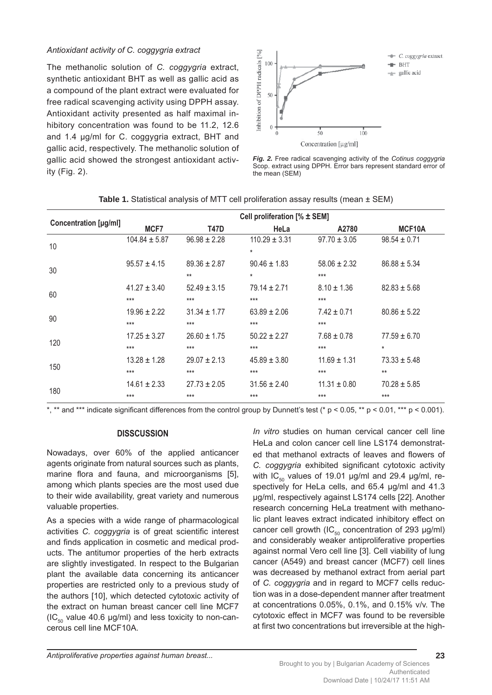#### *Antioxidant activity of C. coggygria extract*

The methanolic solution of *C. coggygria* extract, synthetic antioxidant BHT as well as gallic acid as a compound of the plant extract were evaluated for free radical scavenging activity using DPPH assay. Antioxidant activity presented as half maximal inhibitory concentration was found to be 11.2, 12.6 and 1.4 μg/ml for C. coggygria extract, BHT and gallic acid, respectively. The methanolic solution of gallic acid showed the strongest antioxidant activity (Fig. 2).



*Fig. 2.* Free radical scavenging activity of the *Cotinus coggygria* Scop. extract using DPPH. Error bars represent standard error of the mean (SEM)

| <b>Concentration [µg/ml]</b> | Cell proliferation [% ± SEM] |                  |                   |                  |                  |
|------------------------------|------------------------------|------------------|-------------------|------------------|------------------|
|                              | MCF7                         | T47D             | HeLa              | A2780            | MCF10A           |
| 10                           | $104.84 \pm 5.87$            | $96.98 \pm 2.28$ | $110.29 \pm 3.31$ | $97.70 \pm 3.05$ | $98.54 \pm 0.71$ |
|                              |                              |                  | $^\star$          |                  |                  |
| 30                           | $95.57 \pm 4.15$             | $89.36 \pm 2.87$ | $90.46 \pm 1.83$  | $58.06 \pm 2.32$ | $86.88 \pm 5.34$ |
|                              |                              | $**$             | $^\star$          | $***$            |                  |
| 60                           | $41.27 \pm 3.40$             | $52.49 \pm 3.15$ | $79.14 \pm 2.71$  | $8.10 \pm 1.36$  | $82.83 \pm 5.68$ |
|                              | $***$                        | $***$            | $***$             | $***$            |                  |
| 90                           | $19.96 \pm 2.22$             | $31.34 \pm 1.77$ | $63.89 \pm 2.06$  | $7.42 \pm 0.71$  | $80.86 \pm 5.22$ |
|                              | $***$                        | $***$            | $***$             | $***$            |                  |
| 120                          | $17.25 \pm 3.27$             | $26.60 \pm 1.75$ | $50.22 \pm 2.27$  | $7.68 \pm 0.78$  | $77.59 \pm 6.70$ |
|                              | $***$                        | $***$            | $***$             | $***$            | $\star$          |
| 150                          | $13.28 \pm 1.28$             | $29.07 \pm 2.13$ | $45.89 \pm 3.80$  | $11.69 \pm 1.31$ | $73.33 \pm 5.48$ |
|                              | $***$                        | $***$            | $***$             | $***$            | $**$             |
| 180                          | $14.61 \pm 2.33$             | $27.73 \pm 2.05$ | $31.56 \pm 2.40$  | $11.31 \pm 0.80$ | $70.28 \pm 5.85$ |
|                              | $***$                        | $***$            | $***$             | $***$            | $***$            |

**Table 1.** Statistical analysis of MTT cell proliferation assay results (mean ± SEM)

\*, \*\* and \*\*\* indicate significant differences from the control group by Dunnett's test (\*  $p < 0.05$ , \*\*  $p < 0.01$ , \*\*\*  $p < 0.001$ ).

## **DISSCUSSION**

Nowadays, over 60% of the applied anticancer agents originate from natural sources such as plants, marine flora and fauna, and microorganisms [5], among which plants species are the most used due to their wide availability, great variety and numerous valuable properties.

As a species with a wide range of pharmacological activities *C. coggygria* is of great scientific interest and finds application in cosmetic and medical products. The antitumor properties of the herb extracts are slightly investigated. In respect to the Bulgarian plant the available data concerning its anticancer properties are restricted only to a previous study of the authors [10], which detected cytotoxic activity of the extract on human breast cancer cell line MCF7 (IC $_{50}$  value 40.6 µg/ml) and less toxicity to non-cancerous cell line MCF10A.

*In vitro* studies on human cervical cancer cell line HeLa and colon cancer cell line LS174 demonstrated that methanol extracts of leaves and flowers of *C. coggygria* exhibited significant cytotoxic activity with  $IC_{50}$  values of 19.01 μg/ml and 29.4 μg/ml, respectively for HeLa cells, and 65.4 μg/ml and 41.3 μg/ml, respectively against LS174 cells [22]. Another research concerning HeLa treatment with methanolic plant leaves extract indicated inhibitory effect on cancer cell growth (IC $_{50}$  concentration of 293 µg/ml) and considerably weaker antiproliferative properties against normal Vero cell line [3]. Cell viability of lung cancer (A549) and breast cancer (MCF7) cell lines was decreased by methanol extract from aerial part of *C. coggygria* and in regard to MCF7 cells reduction was in a dose-dependent manner after treatment at concentrations 0.05%, 0.1%, and 0.15% v/v. The cytotoxic effect in MCF7 was found to be reversible at first two concentrations but irreversible at the high-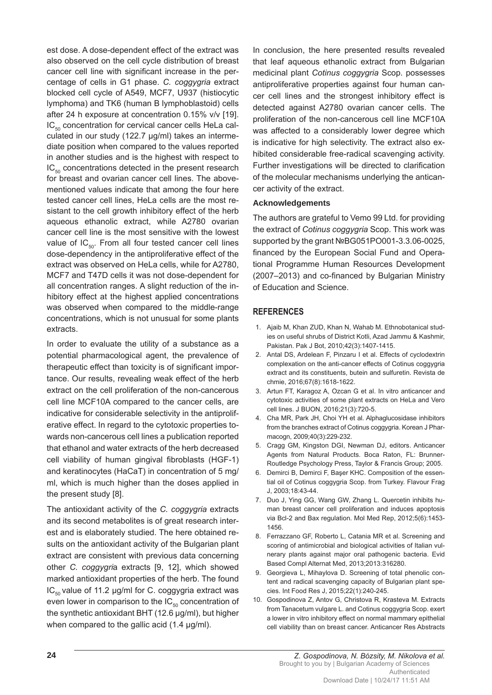est dose. A dose-dependent effect of the extract was also observed on the cell cycle distribution of breast cancer cell line with significant increase in the percentage of cells in G1 phase. *C. coggygria* extract blocked cell cycle of A549, MCF7, U937 (histiocytic lymphoma) and TK6 (human B lymphoblastoid) cells after 24 h exposure at concentration 0.15% v/v [19].  $IC_{50}$  concentration for cervical cancer cells HeLa calculated in our study (122.7 μg/ml) takes an intermediate position when compared to the values reported in another studies and is the highest with respect to  $IC_{50}$  concentrations detected in the present research for breast and ovarian cancer cell lines. The abovementioned values indicate that among the four here tested cancer cell lines, HeLa cells are the most resistant to the cell growth inhibitory effect of the herb aqueous ethanolic extract, while A2780 ovarian cancer cell line is the most sensitive with the lowest value of  $IC_{50}$ . From all four tested cancer cell lines dose-dependency in the antiproliferative effect of the extract was observed on HeLa cells, while for A2780, MCF7 and T47D cells it was not dose-dependent for all concentration ranges. A slight reduction of the inhibitory effect at the highest applied concentrations was observed when compared to the middle-range concentrations, which is not unusual for some plants extracts.

In order to evaluate the utility of a substance as a potential pharmacological agent, the prevalence of therapeutic effect than toxicity is of significant importance. Our results, revealing weak effect of the herb extract on the cell proliferation of the non-cancerous cell line MCF10A compared to the cancer cells, are indicative for considerable selectivity in the antiproliferative effect. In regard to the cytotoxic properties towards non-cancerous cell lines a publication reported that ethanol and water extracts of the herb decreased cell viability of human gingival fibroblasts (HGF-1) and keratinocytes (HaCaT) in concentration of 5 mg/ ml, which is much higher than the doses applied in the present study [8].

The antioxidant activity of the *C. coggygria* extracts and its second metabolites is of great research interest and is elaborately studied. The here obtained results on the antioxidant activity of the Bulgarian plant extract are consistent with previous data concerning other *C. coggygri*a extracts [9, 12], which showed marked antioxidant properties of the herb. The found IC<sub>50</sub> value of 11.2 μg/ml for C. coggygria extract was even lower in comparison to the  $IC_{50}$  concentration of the synthetic antioxidant BHT (12.6 μg/ml), but higher when compared to the gallic acid (1.4 μg/ml).

In conclusion, the here presented results revealed that leaf aqueous ethanolic extract from Bulgarian medicinal plant *Cotinus coggygria* Scop. possesses antiproliferative properties against four human cancer cell lines and the strongest inhibitory effect is detected against A2780 ovarian cancer cells. The proliferation of the non-cancerous cell line MCF10A was affected to a considerably lower degree which is indicative for high selectivity. The extract also exhibited considerable free-radical scavenging activity. Further investigations will be directed to clarification of the molecular mechanisms underlying the anticancer activity of the extract.

#### **Acknowledgements**

The authors are grateful to Vemo 99 Ltd. for providing the extract of *Cotinus coggygria* Scop. This work was supported by the grant №BG051PO001-3.3.06-0025, financed by the European Social Fund and Operational Programme Human Resources Development (2007–2013) and co-financed by Bulgarian Ministry of Education and Science.

# **REFERENCES**

- 1. Ajaib M, Khan ZUD, Khan N, Wahab M. Ethnobotanical studies on useful shrubs of District Kotli, Azad Jammu & Kashmir, Pakistan. Pak J Bot, 2010;42(3):1407-1415.
- 2. Antal DS, Ardelean F, Pinzaru I et al. Effects of cyclodextrin complexation on the anti-cancer effects of Cotinus coggygria extract and its constituents, butein and sulfuretin. Revista de chmie, 2016;67(8):1618-1622.
- 3. Artun FT, Karagoz A, Ozcan G et al. In vitro anticancer and cytotoxic activities of some plant extracts on HeLa and Vero cell lines. J BUON, 2016;21(3):720-5.
- 4. Cha MR, Park JH, Choi YH et al. Alphaglucosidase inhibitors from the branches extract of Cotinus coggygria. Korean J Pharmacogn, 2009;40(3):229-232.
- 5. Cragg GM, Kingston DGI, Newman DJ, editors. Anticancer Agents from Natural Products. Boca Raton, FL: Brunner-Routledge Psychology Press, Taylor & Francis Group; 2005.
- 6. Demirci B, Demirci F, Başer KHC. Composition of the essential oil of Cotinus coggygria Scop. from Turkey. Flavour Frag J, 2003;18:43-44.
- 7. Duo J, Ying GG, Wang GW, Zhang L. Quercetin inhibits human breast cancer cell proliferation and induces apoptosis via Bcl-2 and Bax regulation. Mol Med Rep, 2012;5(6):1453- 1456.
- 8. Ferrazzano GF, Roberto L, Catania MR et al. Screening and scoring of antimicrobial and biological activities of Italian vulnerary plants against major oral pathogenic bacteria. Evid Based Compl Alternat Med, 2013;2013:316280.
- 9. Georgieva L, Mihaylova D. Screening of total phenolic content and radical scavenging capacity of Bulgarian plant species. Int Food Res J, 2015;22(1):240-245.
- 10. Gospodinova Z, Antov G, Christova R, Krasteva M. Extracts from Tanacetum vulgare L. and Cotinus coggygria Scop. exert a lower in vitro inhibitory effect on normal mammary epithelial cell viability than on breast cancer. Anticancer Res Abstracts